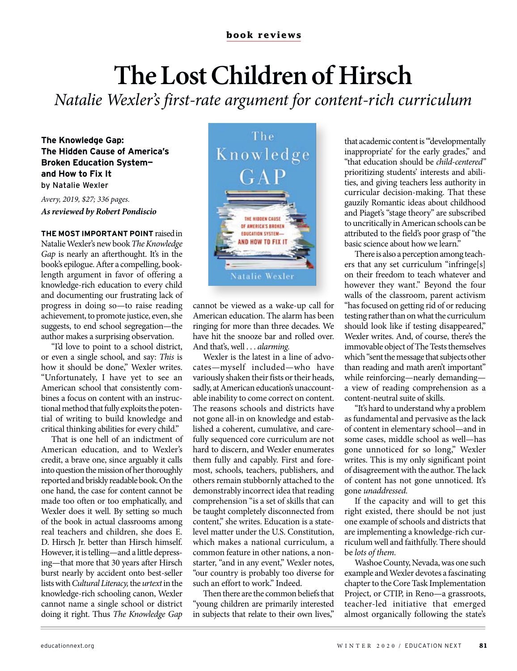## **The Lost Children of Hirsch**

*Natalie Wexler's first-rate argument for content-rich curriculum*

**The Knowledge Gap: The Hidden Cause of America's Broken Education System and How to Fix It**  by Natalie Wexler

*Avery, 2019, \$27; 336 pages. As reviewed by Robert Pondiscio*

**THE MOST IMPORTANT POINT** raised in Natalie Wexler's new book *The Knowledge Gap* is nearly an afterthought. It's in the book's epilogue. After a compelling, booklength argument in favor of offering a knowledge-rich education to every child and documenting our frustrating lack of progress in doing so—to raise reading achievement, to promote justice, even, she suggests, to end school segregation—the author makes a surprising observation.

"I'd love to point to a school district, or even a single school, and say: *This* is how it should be done," Wexler writes. "Unfortunately, I have yet to see an American school that consistently combines a focus on content with an instructional method that fully exploits the potential of writing to build knowledge and critical thinking abilities for every child."

That is one hell of an indictment of American education, and to Wexler's credit, a brave one, since arguably it calls into question the mission of her thoroughly reported and briskly readable book. On the one hand, the case for content cannot be made too often or too emphatically, and Wexler does it well. By setting so much of the book in actual classrooms among real teachers and children, she does E. D. Hirsch Ir. better than Hirsch himself. However, it is telling—and a little depressing—that more that 30 years after Hirsch burst nearly by accident onto best-seller lists with *Cultural Literacy,* the *urtext* in the knowledge-rich schooling canon, Wexler cannot name a single school or district doing it right. Thus *The Knowledge Gap*



cannot be viewed as a wake-up call for American education. The alarm has been ringing for more than three decades. We have hit the snooze bar and rolled over. And that's, well . . . *alarming.*

Wexler is the latest in a line of advocates—myself included—who have variously shaken their fists or their heads, sadly, at American education's unaccountable inability to come correct on content. The reasons schools and districts have not gone all-in on knowledge and established a coherent, cumulative, and carefully sequenced core curriculum are not hard to discern, and Wexler enumerates them fully and capably. First and foremost, schools, teachers, publishers, and others remain stubbornly attached to the demonstrably incorrect idea that reading comprehension "is a set of skills that can be taught completely disconnected from content," she writes. Education is a statelevel matter under the U.S. Constitution, which makes a national curriculum, a common feature in other nations, a nonstarter, "and in any event," Wexler notes, "our country is probably too diverse for such an effort to work." Indeed.

Then there are the common beliefs that "young children are primarily interested in subjects that relate to their own lives,"

that academic content is "'developmentally inappropriate' for the early grades," and "that education should be *child-centered"*  prioritizing students' interests and abilities, and giving teachers less authority in curricular decision-making. That these gauzily Romantic ideas about childhood and Piaget's "stage theory" are subscribed to uncritically in American schools can be attributed to the field's poor grasp of "the basic science about how we learn."

There is also a perception among teachers that any set curriculum "infringe[s] on their freedom to teach whatever and however they want." Beyond the four walls of the classroom, parent activism "has focused on getting rid of or reducing testing rather than on what the curriculum should look like if testing disappeared," Wexler writes. And, of course, there's the immovable object of The Tests themselves which "sent the message that subjects other than reading and math aren't important" while reinforcing—nearly demanding a view of reading comprehension as a content-neutral suite of skills.

"It's hard to understand why a problem as fundamental and pervasive as the lack of content in elementary school—and in some cases, middle school as well—has gone unnoticed for so long," Wexler writes. This is my only significant point of disagreement with the author. The lack of content has not gone unnoticed. It's gone *unaddressed.* 

If the capacity and will to get this right existed, there should be not just one example of schools and districts that are implementing a knowledge-rich curriculum well and faithfully. There should be *lots of them.* 

Washoe County, Nevada, was one such example and Wexler devotes a fascinating chapter to the Core Task Implementation Project, or CTIP, in Reno—a grassroots, teacher-led initiative that emerged almost organically following the state's